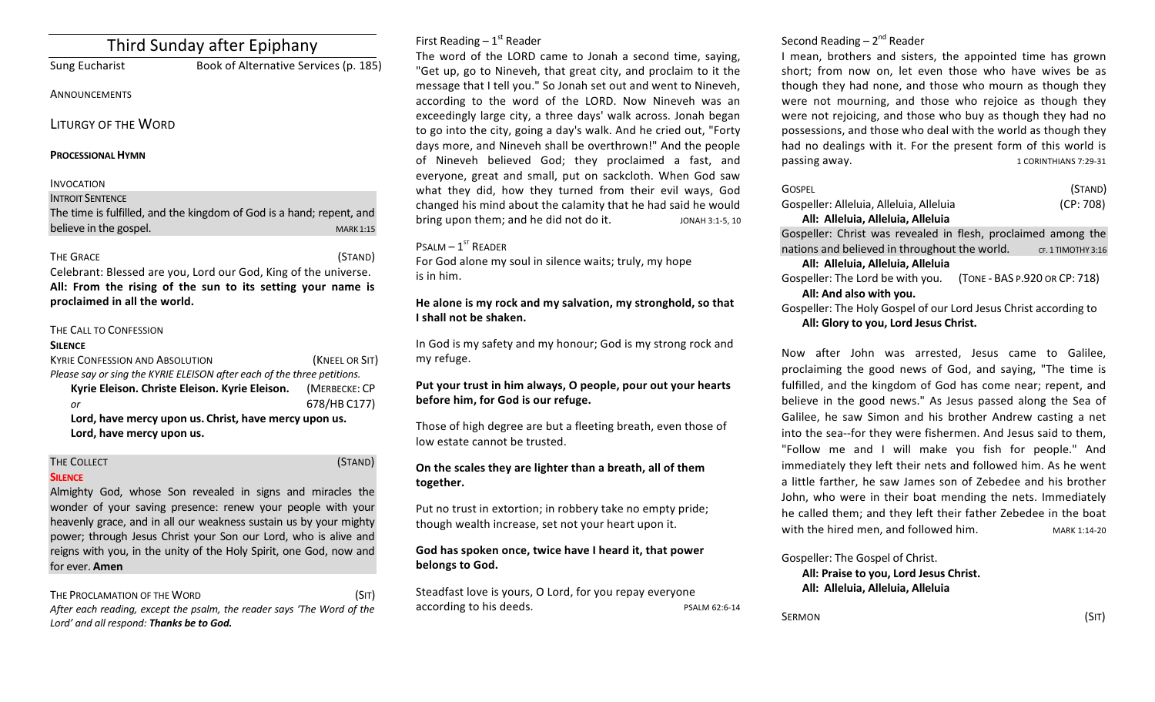# Third Sunday after Epiphany

Sung Eucharist **Book of Alternative Services** (p. 185)

## **ANNOUNCEMENTS**

LITURGY OF THE WORD

## **PROCESSIONAL HYMN**

## INVOCATION

#### **INTROIT SENTENCE**

The time is fulfilled, and the kingdom of God is a hand; repent, and believe in the gospel. The state of the state of the state of the state of the state of the state of the state of the state of the state of the state of the state of the state of the state of the state of the state of the

## THE GRACE (STAND)

Celebrant: Blessed are you, Lord our God, King of the universe. All: From the rising of the sun to its setting your name is proclaimed in all the world.

## THE CALL TO CONFESSION

#### **SILENCE**

| <b>KYRIE CONFESSION AND ABSOLUTION</b>                                  | (KNEEL OR SIT) |  |  |
|-------------------------------------------------------------------------|----------------|--|--|
| Please say or sing the KYRIE ELEISON after each of the three petitions. |                |  |  |
| Kyrie Eleison. Christe Eleison. Kyrie Eleison.                          | (MERBECKE: CP  |  |  |
| or                                                                      | 678/HB C177)   |  |  |
| Lord, have morey unon us. Christ, have morey unon us                    |                |  |  |

Lord, have mercy upon us. Christ, have mercy upon us. Lord, have mercy upon us.

## THE COLLECT **THE COLLECT COLLECT COLLECT COLLECT COLLECT COLLECT COLLECT COLLECT COLLECT COLLECT**

## **SILENCE**

Almighty God, whose Son revealed in signs and miracles the wonder of your saving presence: renew your people with your heavenly grace, and in all our weakness sustain us by your mighty power; through Jesus Christ your Son our Lord, who is alive and reigns with you, in the unity of the Holy Spirit, one God, now and for ever. **Amen** 

## THE PROCLAMATION OF THE WORD (SIT)

After each reading, except the psalm, the reader says 'The Word of the Lord' and all respond: Thanks be to God.

## First Reading  $-1<sup>st</sup>$  Reader

The word of the LORD came to Jonah a second time, saying, "Get up, go to Nineveh, that great city, and proclaim to it the message that I tell you." So Jonah set out and went to Nineveh, according to the word of the LORD. Now Nineveh was an exceedingly large city, a three days' walk across. Jonah began to go into the city, going a day's walk. And he cried out, "Forty days more, and Nineveh shall be overthrown!" And the people of Nineveh believed God; they proclaimed a fast, and everyone, great and small, put on sackcloth. When God saw what they did, how they turned from their evil ways, God changed his mind about the calamity that he had said he would bring upon them; and he did not do it. JONAH 3:1-5, 10

## $P$ SALM  $- 1$ <sup>ST</sup> READER

For God alone my soul in silence waits; truly, my hope is in him.

## He alone is my rock and my salvation, my stronghold, so that **I** shall not be shaken.

In God is my safety and my honour; God is my strong rock and my refuge. 

## Put your trust in him always, O people, pour out your hearts before him, for God is our refuge.

Those of high degree are but a fleeting breath, even those of low estate cannot be trusted.

## On the scales they are lighter than a breath, all of them **together.**

Put no trust in extortion; in robbery take no empty pride; though wealth increase, set not your heart upon it.

## God has spoken once, twice have I heard it, that power belongs to God.

Steadfast love is yours, O Lord, for you repay everyone according to his deeds. The power of the PSALM 62:6-14 Second Reading  $- 2<sup>nd</sup>$  Reader

I mean, brothers and sisters, the appointed time has grown short; from now on, let even those who have wives be as though they had none, and those who mourn as though they were not mourning, and those who rejoice as though they were not rejoicing, and those who buy as though they had no possessions, and those who deal with the world as though they had no dealings with it. For the present form of this world is passing away. The same state of the set of the set of the set of the set of the set of the set of the set of the set of the set of the set of the set of the set of the set of the set of the set of the set of the set of the

|                                       | GOSPEL                                                           | (STAND)            |  |
|---------------------------------------|------------------------------------------------------------------|--------------------|--|
|                                       | Gospeller: Alleluia, Alleluia, Alleluia                          | (CP: 708)          |  |
|                                       | All: Alleluia, Alleluia, Alleluia                                |                    |  |
|                                       | Gospeller: Christ was revealed in flesh, proclaimed among the    |                    |  |
|                                       | nations and believed in throughout the world.                    | CF. 1 TIMOTHY 3:16 |  |
| All: Alleluia, Alleluia, Alleluia     |                                                                  |                    |  |
|                                       | Gospeller: The Lord be with you. (TONE - BAS P.920 OR CP: 718)   |                    |  |
|                                       | All: And also with you.                                          |                    |  |
|                                       | Gospeller: The Holy Gospel of our Lord Jesus Christ according to |                    |  |
| All: Glory to you, Lord Jesus Christ. |                                                                  |                    |  |

Now after John was arrested, Jesus came to Galilee, proclaiming the good news of God, and saying, "The time is fulfilled, and the kingdom of God has come near; repent, and believe in the good news." As Jesus passed along the Sea of Galilee, he saw Simon and his brother Andrew casting a net into the sea--for they were fishermen. And Jesus said to them, "Follow me and I will make you fish for people." And immediately they left their nets and followed him. As he went a little farther, he saw James son of Zebedee and his brother John, who were in their boat mending the nets. Immediately he called them; and they left their father Zebedee in the boat with the hired men, and followed him. MARK 1:14-20

Gospeller: The Gospel of Christ.

All: Praise to you, Lord Jesus Christ. **All: Alleluia, Alleluia, Alleluia**

 $\mathsf{SERMON}$  (SIT)